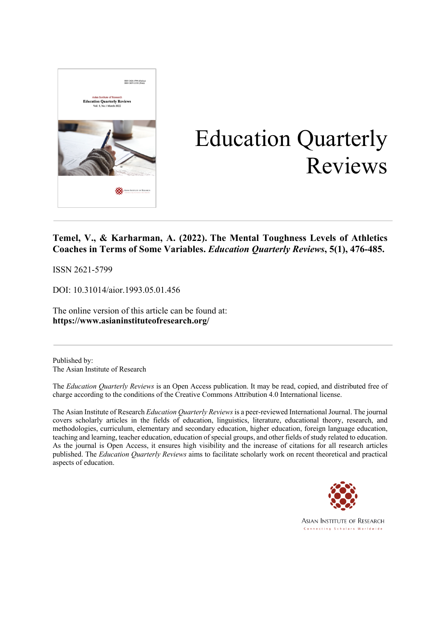

# Education Quarterly Reviews

### **Temel, V., & Karharman, A. (2022). The Mental Toughness Levels of Athletics Coaches in Terms of Some Variables.** *Education Quarterly Reviews***, 5(1), 476-485.**

ISSN 2621-5799

DOI: 10.31014/aior.1993.05.01.456

The online version of this article can be found at: **https://www.asianinstituteofresearch.org/**

Published by: The Asian Institute of Research

The *Education Quarterly Reviews* is an Open Access publication. It may be read, copied, and distributed free of charge according to the conditions of the Creative Commons Attribution 4.0 International license.

The Asian Institute of Research *Education Quarterly Reviews* is a peer-reviewed International Journal. The journal covers scholarly articles in the fields of education, linguistics, literature, educational theory, research, and methodologies, curriculum, elementary and secondary education, higher education, foreign language education, teaching and learning, teacher education, education of special groups, and other fields of study related to education. As the journal is Open Access, it ensures high visibility and the increase of citations for all research articles published. The *Education Quarterly Reviews* aims to facilitate scholarly work on recent theoretical and practical aspects of education.

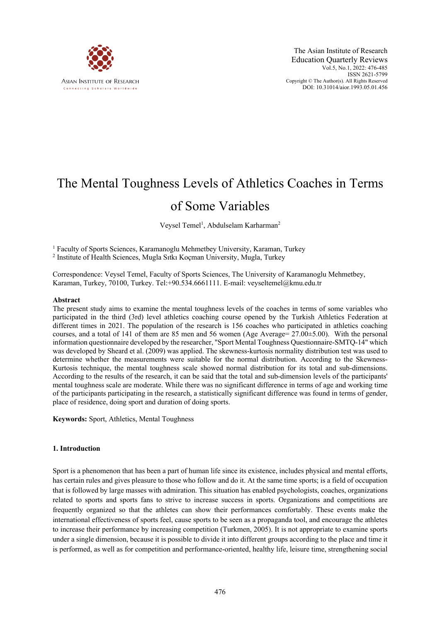

## The Mental Toughness Levels of Athletics Coaches in Terms

## of Some Variables

Veysel Temel<sup>1</sup>, Abdulselam Karharman<sup>2</sup>

 $1$  Faculty of Sports Sciences, Karamanoglu Mehmetbey University, Karaman, Turkey <sup>2</sup> Institute of Health Sciences, Mugla Sıtkı Koçman University, Mugla, Turkey

Correspondence: Veysel Temel, Faculty of Sports Sciences, The University of Karamanoglu Mehmetbey,

Karaman, Turkey, 70100, Turkey. Tel:+90.534.6661111. E-mail: veyseltemel@kmu.edu.tr

#### **Abstract**

The present study aims to examine the mental toughness levels of the coaches in terms of some variables who participated in the third (3rd) level athletics coaching course opened by the Turkish Athletics Federation at different times in 2021. The population of the research is 156 coaches who participated in athletics coaching courses, and a total of 141 of them are 85 men and 56 women (Age Average= 27.00±5.00). With the personal information questionnaire developed by the researcher, "Sport Mental Toughness Questionnaire-SMTQ-14" which was developed by Sheard et al. (2009) was applied. The skewness-kurtosis normality distribution test was used to determine whether the measurements were suitable for the normal distribution. According to the Skewness-Kurtosis technique, the mental toughness scale showed normal distribution for its total and sub-dimensions. According to the results of the research, it can be said that the total and sub-dimension levels of the participants' mental toughness scale are moderate. While there was no significant difference in terms of age and working time of the participants participating in the research, a statistically significant difference was found in terms of gender, place of residence, doing sport and duration of doing sports.

**Keywords:** Sport, Athletics, Mental Toughness

#### **1. Introduction**

Sport is a phenomenon that has been a part of human life since its existence, includes physical and mental efforts, has certain rules and gives pleasure to those who follow and do it. At the same time sports; is a field of occupation that is followed by large masses with admiration. This situation has enabled psychologists, coaches, organizations related to sports and sports fans to strive to increase success in sports. Organizations and competitions are frequently organized so that the athletes can show their performances comfortably. These events make the international effectiveness of sports feel, cause sports to be seen as a propaganda tool, and encourage the athletes to increase their performance by increasing competition (Turkmen, 2005). It is not appropriate to examine sports under a single dimension, because it is possible to divide it into different groups according to the place and time it is performed, as well as for competition and performance-oriented, healthy life, leisure time, strengthening social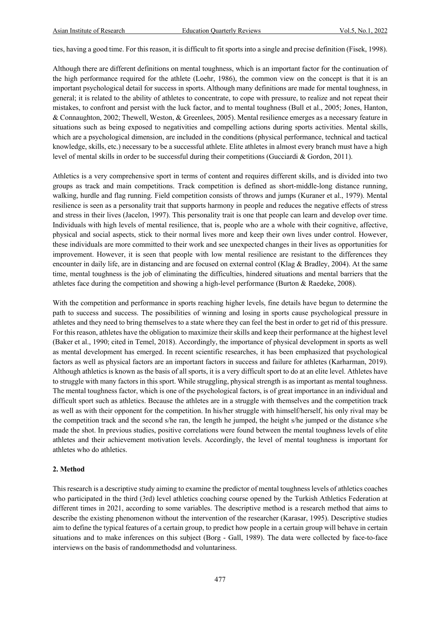ties, having a good time. For this reason, it is difficult to fit sports into a single and precise definition (Fisek, 1998).

Although there are different definitions on mental toughness, which is an important factor for the continuation of the high performance required for the athlete (Loehr, 1986), the common view on the concept is that it is an important psychological detail for success in sports. Although many definitions are made for mental toughness, in general; it is related to the ability of athletes to concentrate, to cope with pressure, to realize and not repeat their mistakes, to confront and persist with the luck factor, and to mental toughness (Bull et al., 2005; Jones, Hanton, & Connaughton, 2002; Thewell, Weston, & Greenlees, 2005). Mental resilience emerges as a necessary feature in situations such as being exposed to negativities and compelling actions during sports activities. Mental skills, which are a psychological dimension, are included in the conditions (physical performance, technical and tactical knowledge, skills, etc.) necessary to be a successful athlete. Elite athletes in almost every branch must have a high level of mental skills in order to be successful during their competitions (Gucciardi & Gordon, 2011).

Athletics is a very comprehensive sport in terms of content and requires different skills, and is divided into two groups as track and main competitions. Track competition is defined as short-middle-long distance running, walking, hurdle and flag running. Field competition consists of throws and jumps (Kuraner et al., 1979). Mental resilience is seen as a personality trait that supports harmony in people and reduces the negative effects of stress and stress in their lives (Jacelon, 1997). This personality trait is one that people can learn and develop over time. Individuals with high levels of mental resilience, that is, people who are a whole with their cognitive, affective, physical and social aspects, stick to their normal lives more and keep their own lives under control. However, these individuals are more committed to their work and see unexpected changes in their lives as opportunities for improvement. However, it is seen that people with low mental resilience are resistant to the differences they encounter in daily life, are in distancing and are focused on external control (Klag & Bradley, 2004). At the same time, mental toughness is the job of eliminating the difficulties, hindered situations and mental barriers that the athletes face during the competition and showing a high-level performance (Burton & Raedeke, 2008).

With the competition and performance in sports reaching higher levels, fine details have begun to determine the path to success and success. The possibilities of winning and losing in sports cause psychological pressure in athletes and they need to bring themselves to a state where they can feel the best in order to get rid of this pressure. For this reason, athletes have the obligation to maximize their skills and keep their performance at the highest level (Baker et al., 1990; cited in Temel, 2018). Accordingly, the importance of physical development in sports as well as mental development has emerged. In recent scientific researches, it has been emphasized that psychological factors as well as physical factors are an important factors in success and failure for athletes (Karharman, 2019). Although athletics is known as the basis of all sports, it is a very difficult sport to do at an elite level. Athletes have to struggle with many factors in this sport. While struggling, physical strength is as important as mental toughness. The mental toughness factor, which is one of the psychological factors, is of great importance in an individual and difficult sport such as athletics. Because the athletes are in a struggle with themselves and the competition track as well as with their opponent for the competition. In his/her struggle with himself/herself, his only rival may be the competition track and the second s/he ran, the length he jumped, the height s/he jumped or the distance s/he made the shot. In previous studies, positive correlations were found between the mental toughness levels of elite athletes and their achievement motivation levels. Accordingly, the level of mental toughness is important for athletes who do athletics.

#### **2. Method**

This research is a descriptive study aiming to examine the predictor of mental toughness levels of athletics coaches who participated in the third (3rd) level athletics coaching course opened by the Turkish Athletics Federation at different times in 2021, according to some variables. The descriptive method is a research method that aims to describe the existing phenomenon without the intervention of the researcher (Karasar, 1995). Descriptive studies aim to define the typical features of a certain group, to predict how people in a certain group will behave in certain situations and to make inferences on this subject (Borg - Gall, 1989). The data were collected by face-to-face interviews on the basis of randommethodsd and voluntariness.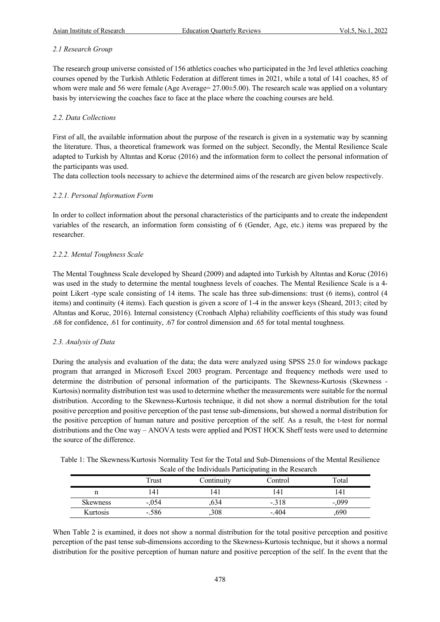#### *2.1 Research Group*

The research group universe consisted of 156 athletics coaches who participated in the 3rd level athletics coaching courses opened by the Turkish Athletic Federation at different times in 2021, while a total of 141 coaches, 85 of whom were male and 56 were female (Age Average= 27.00 $\pm$ 5.00). The research scale was applied on a voluntary basis by interviewing the coaches face to face at the place where the coaching courses are held.

#### *2.2. Data Collections*

First of all, the available information about the purpose of the research is given in a systematic way by scanning the literature. Thus, a theoretical framework was formed on the subject. Secondly, the Mental Resilience Scale adapted to Turkish by Altıntas and Koruc (2016) and the information form to collect the personal information of the participants was used.

The data collection tools necessary to achieve the determined aims of the research are given below respectively.

#### *2.2.1. Personal Information Form*

In order to collect information about the personal characteristics of the participants and to create the independent variables of the research, an information form consisting of 6 (Gender, Age, etc.) items was prepared by the researcher.

#### *2.2.2. Mental Toughness Scale*

The Mental Toughness Scale developed by Sheard (2009) and adapted into Turkish by Altıntas and Koruc (2016) was used in the study to determine the mental toughness levels of coaches. The Mental Resilience Scale is a 4 point Likert -type scale consisting of 14 items. The scale has three sub-dimensions: trust (6 items), control (4 items) and continuity (4 items). Each question is given a score of 1-4 in the answer keys (Sheard, 2013; cited by Altıntas and Koruc, 2016). Internal consistency (Cronbach Alpha) reliability coefficients of this study was found .68 for confidence, .61 for continuity, .67 for control dimension and .65 for total mental toughness.

#### *2.3. Analysis of Data*

During the analysis and evaluation of the data; the data were analyzed using SPSS 25.0 for windows package program that arranged in Microsoft Excel 2003 program. Percentage and frequency methods were used to determine the distribution of personal information of the participants. The Skewness-Kurtosis (Skewness - Kurtosis) normality distribution test was used to determine whether the measurements were suitable for the normal distribution. According to the Skewness-Kurtosis technique, it did not show a normal distribution for the total positive perception and positive perception of the past tense sub-dimensions, but showed a normal distribution for the positive perception of human nature and positive perception of the self. As a result, the t-test for normal distributions and the One way – ANOVA tests were applied and POST HOCK Sheff tests were used to determine the source of the difference.

| Table 1: The Skewness/Kurtosis Normality Test for the Total and Sub-Dimensions of the Mental Resilience |  |
|---------------------------------------------------------------------------------------------------------|--|
| Scale of the Individuals Participating in the Research                                                  |  |

|                 |         |            | --- --- - --- - - --- - -- |         |
|-----------------|---------|------------|----------------------------|---------|
|                 | Trust   | Continuity | Control                    | Total   |
|                 | 141     | l 4        |                            | 141     |
| <b>Skewness</b> | $-.054$ | 634        | $-.318$                    | $-.099$ |
| Kurtosis        | -.586   | ,308       | $-.404$                    | ,690    |

When Table 2 is examined, it does not show a normal distribution for the total positive perception and positive perception of the past tense sub-dimensions according to the Skewness-Kurtosis technique, but it shows a normal distribution for the positive perception of human nature and positive perception of the self. In the event that the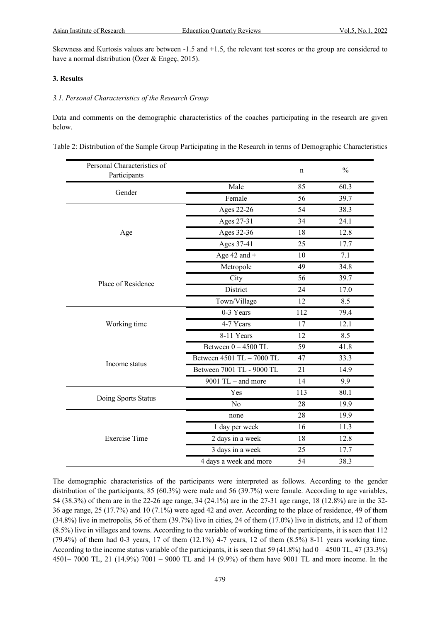Skewness and Kurtosis values are between -1.5 and +1.5, the relevant test scores or the group are considered to have a normal distribution (Özer & Engeç, 2015).

#### **3. Results**

#### *3.1. Personal Characteristics of the Research Group*

Data and comments on the demographic characteristics of the coaches participating in the research are given below.

| Table 2: Distribution of the Sample Group Participating in the Research in terms of Demographic Characteristics |  |  |
|-----------------------------------------------------------------------------------------------------------------|--|--|
|                                                                                                                 |  |  |

| Personal Characteristics of<br>Participants |                           | n   | $\frac{0}{0}$    |
|---------------------------------------------|---------------------------|-----|------------------|
|                                             | Male                      | 85  | 60.3             |
| Gender                                      | Female                    | 56  | 39.7             |
|                                             | Ages 22-26                | 54  | 38.3             |
|                                             | Ages 27-31                | 34  | 24.1             |
| Age                                         | Ages 32-36                | 18  | 12.8             |
|                                             | Ages 37-41                | 25  | 17.7             |
|                                             | Age $42$ and $+$          | 10  | 7.1              |
|                                             | Metropole                 | 49  | 34.8             |
| Place of Residence                          | City                      | 56  | 39.7             |
|                                             | District                  | 24  | 17.0             |
|                                             | Town/Village              | 12  | 8.5              |
|                                             | 0-3 Years                 | 112 | 79.4             |
| Working time                                | 4-7 Years                 | 17  | 12.1             |
|                                             | 8-11 Years                | 12  | 8.5              |
|                                             | Between $0 - 4500$ TL     | 59  | 41.8             |
|                                             | Between 4501 TL - 7000 TL | 47  | 33.3             |
| Income status                               | Between 7001 TL - 9000 TL | 21  | 14.9             |
|                                             | 9001 TL $-$ and more      | 14  | $\overline{9.9}$ |
|                                             | Yes                       | 113 | 80.1             |
| Doing Sports Status                         | No                        | 28  | 19.9             |
|                                             | none                      | 28  | 19.9             |
|                                             | 1 day per week            | 16  | 11.3             |
| <b>Exercise Time</b>                        | 2 days in a week          | 18  | 12.8             |
|                                             | 3 days in a week          | 25  | 17.7             |
|                                             | 4 days a week and more    | 54  | 38.3             |

The demographic characteristics of the participants were interpreted as follows. According to the gender distribution of the participants, 85 (60.3%) were male and 56 (39.7%) were female. According to age variables, 54 (38.3%) of them are in the 22-26 age range, 34 (24.1%) are in the 27-31 age range, 18 (12.8%) are in the 32- 36 age range, 25 (17.7%) and 10 (7.1%) were aged 42 and over. According to the place of residence, 49 of them (34.8%) live in metropolis, 56 of them (39.7%) live in cities, 24 of them (17.0%) live in districts, and 12 of them (8.5%) live in villages and towns. According to the variable of working time of the participants, it is seen that 112  $(79.4\%)$  of them had 0-3 years, 17 of them  $(12.1\%)$  4-7 years, 12 of them  $(8.5\%)$  8-11 years working time. According to the income status variable of the participants, it is seen that 59 (41.8%) had  $0 - 4500$  TL, 47 (33.3%) 4501– 7000 TL, 21 (14.9%) 7001 – 9000 TL and 14 (9.9%) of them have 9001 TL and more income. In the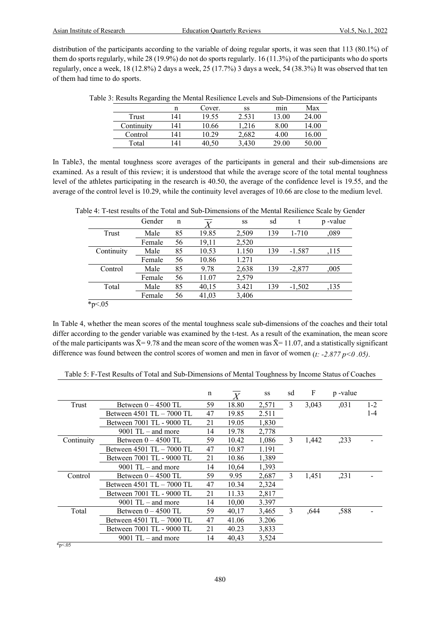distribution of the participants according to the variable of doing regular sports, it was seen that 113 (80.1%) of them do sports regularly, while 28 (19.9%) do not do sports regularly. 16 (11.3%) of the participants who do sports regularly, once a week, 18 (12.8%) 2 days a week, 25 (17.7%) 3 days a week, 54 (38.3%) It was observed that ten of them had time to do sports.

| ↩          | ↩   |        |       |       |       |
|------------|-----|--------|-------|-------|-------|
|            | n   | Cover. | SS    | mın   | Max   |
| Trust      | 41  | 19.55  | 2.531 | 3.00  | 24.00 |
| Continuity | 141 | 10.66  | .216  | 8.00  | 4.00  |
| Control    | 41  | 10.29  | 2,682 | 4.00  | .6.00 |
| Total      | 41  |        | .430  | 29.00 | 0.00  |
|            |     |        |       |       |       |

Table 3: Results Regarding the Mental Resilience Levels and Sub-Dimensions of the Participants

In Table3, the mental toughness score averages of the participants in general and their sub-dimensions are examined. As a result of this review; it is understood that while the average score of the total mental toughness level of the athletes participating in the research is 40.50, the average of the confidence level is 19.55, and the average of the control level is 10.29, while the continuity level averages of 10.66 are close to the medium level.

|            | Gender | n  |       | SS    | sd  |           | p-value |
|------------|--------|----|-------|-------|-----|-----------|---------|
| Trust      | Male   | 85 | 19.85 | 2,509 | 139 | $1 - 710$ | ,089    |
|            | Female | 56 | 19,11 | 2,520 |     |           |         |
| Continuity | Male   | 85 | 10.53 | 1.150 | 139 | $-1.587$  | ,115    |
|            | Female | 56 | 10.86 | 1.271 |     |           |         |
| Control    | Male   | 85 | 9.78  | 2,638 | 139 | $-2,877$  | ,005    |
|            | Female | 56 | 11.07 | 2,579 |     |           |         |
| Total      | Male   | 85 | 40,15 | 3.421 | 139 | $-1,502$  | ,135    |
|            | Female | 56 | 41,03 | 3,406 |     |           |         |
| * $p<.05$  |        |    |       |       |     |           |         |

Table 4: T-test results of the Total and Sub-Dimensions of the Mental Resilience Scale by Gender

In Table 4, whether the mean scores of the mental toughness scale sub-dimensions of the coaches and their total differ according to the gender variable was examined by the t-test. As a result of the examination, the mean score of the male participants was  $\bar{X}$ = 9.78 and the mean score of the women was  $\bar{X}$ = 11.07, and a statistically significant difference was found between the control scores of women and men in favor of women (*t: -2.877 p<0 .05)*.

|             |                               | n  | $\overline{X}$ | SS    | sd | F     | p-value |         |
|-------------|-------------------------------|----|----------------|-------|----|-------|---------|---------|
| Trust       | Between $0 - 4500$ TL         | 59 | 18.80          | 2,571 | 3  | 3,043 | ,031    | $1 - 2$ |
|             | Between $4501$ TL $- 7000$ TL | 47 | 19.85          | 2.511 |    |       |         | $1 - 4$ |
|             | Between 7001 TL - 9000 TL     | 21 | 19.05          | 1,830 |    |       |         |         |
|             | $9001$ TL – and more          | 14 | 19.78          | 2,778 |    |       |         |         |
| Continuity  | Between $0 - 4500$ TL         | 59 | 10.42          | 1,086 | 3  | 1,442 | ,233    |         |
|             | Between $4501$ TL $- 7000$ TL | 47 | 10.87          | 1.191 |    |       |         |         |
|             | Between 7001 TL - 9000 TL     | 21 | 10.86          | 1,389 |    |       |         |         |
|             | $9001$ TL – and more          | 14 | 10,64          | 1,393 |    |       |         |         |
| Control     | Between $0 - 4500$ TL         | 59 | 9.95           | 2,687 | 3  | 1,451 | ,231    |         |
|             | Between 4501 TL - 7000 TL     | 47 | 10.34          | 2,324 |    |       |         |         |
|             | Between 7001 TL - 9000 TL     | 21 | 11.33          | 2,817 |    |       |         |         |
|             | $9001$ TL – and more          | 14 | 10.00          | 3.397 |    |       |         |         |
| Total       | Between $0 - 4500$ TL         | 59 | 40.17          | 3,465 | 3  | .644  | ,588    |         |
|             | Between $4501$ TL $- 7000$ TL | 47 | 41.06          | 3.206 |    |       |         |         |
|             | Between 7001 TL - 9000 TL     | 21 | 40.23          | 3,833 |    |       |         |         |
|             | $9001$ TL – and more          | 14 | 40,43          | 3,524 |    |       |         |         |
| $*_{p<.05}$ |                               |    |                |       |    |       |         |         |

Table 5: F-Test Results of Total and Sub-Dimensions of Mental Toughness by Income Status of Coaches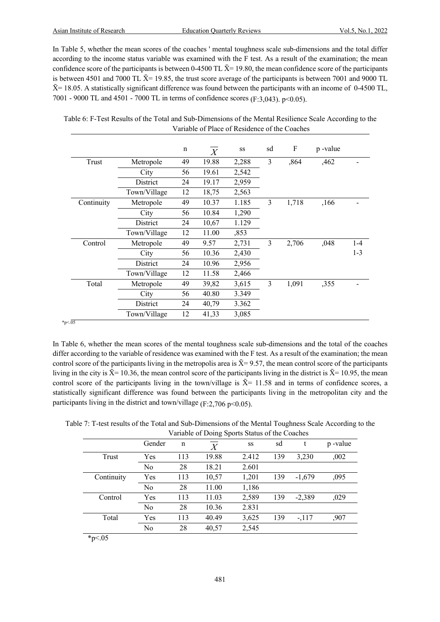In Table 5, whether the mean scores of the coaches ' mental toughness scale sub-dimensions and the total differ according to the income status variable was examined with the F test. As a result of the examination; the mean confidence score of the participants is between 0-4500 TL  $\bar{X}$ = 19.80, the mean confidence score of the participants is between 4501 and 7000 TL  $\bar{X}$ = 19.85, the trust score average of the participants is between 7001 and 9000 TL  $\bar{X}$  = 18.05. A statistically significant difference was found between the participants with an income of 0-4500 TL, 7001 - 9000 TL and 4501 - 7000 TL in terms of confidence scores (F:3,043). p<0.05).

|            |              | $\mathbf n$ | $\overline{X}$ | SS    | sd | F     | p-value |         |
|------------|--------------|-------------|----------------|-------|----|-------|---------|---------|
| Trust      | Metropole    | 49          | 19.88          | 2,288 | 3  | ,864  | ,462    |         |
|            | City         | 56          | 19.61          | 2,542 |    |       |         |         |
|            | District     | 24          | 19.17          | 2,959 |    |       |         |         |
|            | Town/Village | 12          | 18,75          | 2,563 |    |       |         |         |
| Continuity | Metropole    | 49          | 10.37          | 1.185 | 3  | 1,718 | ,166    |         |
|            | City         | 56          | 10.84          | 1,290 |    |       |         |         |
|            | District     | 24          | 10,67          | 1.129 |    |       |         |         |
|            | Town/Village | 12          | 11.00          | ,853  |    |       |         |         |
| Control    | Metropole    | 49          | 9.57           | 2,731 | 3  | 2,706 | ,048    | $1 - 4$ |
|            | City         | 56          | 10.36          | 2,430 |    |       |         | $1 - 3$ |
|            | District     | 24          | 10.96          | 2,956 |    |       |         |         |
|            | Town/Village | 12          | 11.58          | 2,466 |    |       |         |         |
| Total      | Metropole    | 49          | 39,82          | 3,615 | 3  | 1,091 | ,355    |         |
|            | City         | 56          | 40.80          | 3.349 |    |       |         |         |
|            | District     | 24          | 40,79          | 3.362 |    |       |         |         |
|            | Town/Village | 12          | 41,33          | 3,085 |    |       |         |         |

Table 6: F-Test Results of the Total and Sub-Dimensions of the Mental Resilience Scale According to the Variable of Place of Residence of the Coaches

In Table 6, whether the mean scores of the mental toughness scale sub-dimensions and the total of the coaches differ according to the variable of residence was examined with the F test. As a result of the examination; the mean control score of the participants living in the metropolis area is  $\bar{X}$ = 9.57, the mean control score of the participants living in the city is  $\bar{X}$ = 10.36, the mean control score of the participants living in the district is  $\bar{X}$ = 10.95, the mean control score of the participants living in the town/village is  $\bar{X}$ = 11.58 and in terms of confidence scores, a statistically significant difference was found between the participants living in the metropolitan city and the participants living in the district and town/village  $(F:2,706 \text{ p} < 0.05)$ .

|  |  |  |  | Table 7: T-test results of the Total and Sub-Dimensions of the Mental Toughness Scale According to the |  |  |
|--|--|--|--|--------------------------------------------------------------------------------------------------------|--|--|
|  |  |  |  |                                                                                                        |  |  |

|            | Variable of Doing Sports Status of the Coaches |     |       |       |     |          |         |  |  |  |
|------------|------------------------------------------------|-----|-------|-------|-----|----------|---------|--|--|--|
|            | Gender                                         | n   | $\,$  | SS    | sd  | t        | p-value |  |  |  |
| Trust      | Yes                                            | 113 | 19.88 | 2.412 | 139 | 3.230    | ,002    |  |  |  |
|            | No                                             | 28  | 18.21 | 2.601 |     |          |         |  |  |  |
| Continuity | Yes                                            | 113 | 10,57 | 1,201 | 139 | $-1,679$ | ,095    |  |  |  |
|            | No                                             | 28  | 11.00 | 1,186 |     |          |         |  |  |  |
| Control    | Yes                                            | 113 | 11.03 | 2,589 | 139 | $-2,389$ | ,029    |  |  |  |
|            | No                                             | 28  | 10.36 | 2.831 |     |          |         |  |  |  |
| Total      | Yes                                            | 113 | 40.49 | 3,625 | 139 | $-.117$  | ,907    |  |  |  |
|            | No                                             | 28  | 40,57 | 2,545 |     |          |         |  |  |  |

 $*_{p<.05}$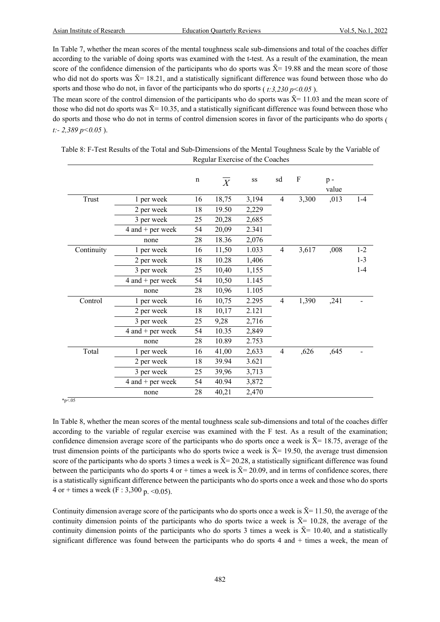In Table 7, whether the mean scores of the mental toughness scale sub-dimensions and total of the coaches differ according to the variable of doing sports was examined with the t-test. As a result of the examination, the mean score of the confidence dimension of the participants who do sports was  $\bar{X}$  = 19.88 and the mean score of those who did not do sports was  $\bar{X}$  = 18.21, and a statistically significant difference was found between those who do sports and those who do not, in favor of the participants who do sports  $(t:3,230 \text{ p} < 0.05)$ .

The mean score of the control dimension of the participants who do sports was  $\bar{X}$ = 11.03 and the mean score of those who did not do sports was  $\bar{X}$  = 10.35, and a statistically significant difference was found between those who do sports and those who do not in terms of control dimension scores in favor of the participants who do sports ( *t:- 2,389 p<0.05* ).

|            |                      | $\mathbf n$ | $\overline{X}$ | SS    | sd             | F     | $p -$<br>value |         |
|------------|----------------------|-------------|----------------|-------|----------------|-------|----------------|---------|
| Trust      | 1 per week           | 16          | 18,75          | 3,194 | $\overline{4}$ | 3,300 | ,013           | $1-4$   |
|            | 2 per week           | 18          | 19.50          | 2,229 |                |       |                |         |
|            | 3 per week           | 25          | 20,28          | 2,685 |                |       |                |         |
|            | $4$ and $+$ per week | 54          | 20,09          | 2.341 |                |       |                |         |
|            | none                 | 28          | 18.36          | 2,076 |                |       |                |         |
| Continuity | 1 per week           | 16          | 11,50          | 1.033 | 4              | 3,617 | ,008           | $1 - 2$ |
|            | 2 per week           | 18          | 10.28          | 1,406 |                |       |                | $1 - 3$ |
|            | 3 per week           | 25          | 10,40          | 1,155 |                |       |                | $1 - 4$ |
|            | $4$ and $+$ per week | 54          | 10,50          | 1.145 |                |       |                |         |
|            | none                 | 28          | 10,96          | 1.105 |                |       |                |         |
| Control    | 1 per week           | 16          | 10,75          | 2.295 | $\overline{4}$ | 1,390 | ,241           |         |
|            | 2 per week           | 18          | 10,17          | 2.121 |                |       |                |         |
|            | 3 per week           | 25          | 9,28           | 2,716 |                |       |                |         |
|            | $4$ and $+$ per week | 54          | 10.35          | 2,849 |                |       |                |         |
|            | none                 | 28          | 10.89          | 2.753 |                |       |                |         |
| Total      | 1 per week           | 16          | 41,00          | 2,633 | $\overline{4}$ | ,626  | ,645           |         |
|            | 2 per week           | 18          | 39.94          | 3.621 |                |       |                |         |
|            | 3 per week           | 25          | 39,96          | 3,713 |                |       |                |         |
|            | $4$ and $+$ per week | 54          | 40.94          | 3,872 |                |       |                |         |
|            | none                 | 28          | 40,21          | 2,470 |                |       |                |         |

Table 8: F-Test Results of the Total and Sub-Dimensions of the Mental Toughness Scale by the Variable of Regular Exercise of the Coaches

 $*_{p < .05}$ 

In Table 8, whether the mean scores of the mental toughness scale sub-dimensions and total of the coaches differ according to the variable of regular exercise was examined with the F test. As a result of the examination; confidence dimension average score of the participants who do sports once a week is  $\bar{X}$ = 18.75, average of the trust dimension points of the participants who do sports twice a week is  $\bar{X}$  = 19.50, the average trust dimension score of the participants who do sports 3 times a week is  $\bar{X} = 20.28$ , a statistically significant difference was found between the participants who do sports 4 or + times a week is  $\bar{X}$ = 20.09, and in terms of confidence scores, there is a statistically significant difference between the participants who do sports once a week and those who do sports 4 or + times a week (F : 3,300 p. < 0.05).

Continuity dimension average score of the participants who do sports once a week is  $\bar{X}$ = 11.50, the average of the continuity dimension points of the participants who do sports twice a week is  $\bar{X}$ = 10.28, the average of the continuity dimension points of the participants who do sports 3 times a week is  $\bar{X}$  = 10.40, and a statistically significant difference was found between the participants who do sports 4 and + times a week, the mean of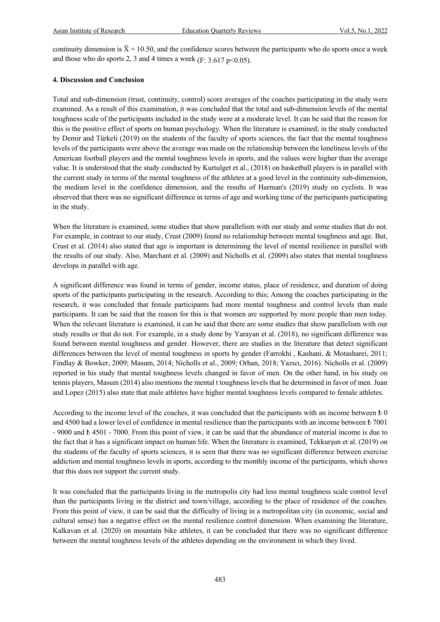continuity dimension is  $\bar{X} = 10.50$ , and the confidence scores between the participants who do sports once a week and those who do sports 2, 3 and 4 times a week ( $F: 3.617 \text{ p} \le 0.05$ ).

#### **4. Discussion and Conclusion**

Total and sub-dimension (trust, continuity, control) score averages of the coaches participating in the study were examined. As a result of this examination, it was concluded that the total and sub-dimension levels of the mental toughness scale of the participants included in the study were at a moderate level. It can be said that the reason for this is the positive effect of sports on human psychology. When the literature is examined; in the study conducted by Demir and Türkeli (2019) on the students of the faculty of sports sciences, the fact that the mental toughness levels of the participants were above the average was made on the relationship between the loneliness levels of the American football players and the mental toughness levels in sports, and the values were higher than the average value. It is understood that the study conducted by Kurtulget et al., (2018) on basketball players is in parallel with the current study in terms of the mental toughness of the athletes at a good level in the continuity sub-dimension, the medium level in the confidence dimension, and the results of Harman's (2019) study on cyclists. It was observed that there was no significant difference in terms of age and working time of the participants participating in the study.

When the literature is examined, some studies that show parallelism with our study and some studies that do not. For example, in contrast to our study, Crust (2009) found no relationship between mental toughness and age. But, Crust et al. (2014) also stated that age is important in determining the level of mental resilience in parallel with the results of our study. Also, Marchant et al. (2009) and Nicholls et al. (2009) also states that mental toughness develops in parallel with age.

A significant difference was found in terms of gender, income status, place of residence, and duration of doing sports of the participants participating in the research. According to this; Among the coaches participating in the research, it was concluded that female participants had more mental toughness and control levels than male participants. It can be said that the reason for this is that women are supported by more people than men today. When the relevant literature is examined, it can be said that there are some studies that show parallelism with our study results or that do not. For example, in a study done by Yarayan et al. (2018), no significant difference was found between mental toughness and gender. However, there are studies in the literature that detect significant differences between the level of mental toughness in sports by gender (Farrokhi, Kashani, & Motasharei, 2011; Findlay & Bowker, 2009; Masum, 2014; Nicholls et al., 2009; Orhan, 2018; Yazıcı, 2016). Nicholls et al. (2009) reported in his study that mental toughness levels changed in favor of men. On the other hand, in his study on tennis players, Masum (2014) also mentions the mental t toughness levels that he determined in favor of men. Juan and Lopez (2015) also state that male athletes have higher mental toughness levels compared to female athletes.

According to the income level of the coaches, it was concluded that the participants with an income between  $\pm 0$ and 4500 had a lower level of confidence in mental resilience than the participants with an income between ₺ 7001 - 9000 and ₺ 4501 - 7000. From this point of view, it can be said that the abundance of material income is due to the fact that it has a significant impact on human life. When the literature is examined, Tekkurşun et al. (2019) on the students of the faculty of sports sciences, it is seen that there was no significant difference between exercise addiction and mental toughness levels in sports, according to the monthly income of the participants, which shows that this does not support the current study.

It was concluded that the participants living in the metropolis city had less mental toughness scale control level than the participants living in the district and town/village, according to the place of residence of the coaches. From this point of view, it can be said that the difficulty of living in a metropolitan city (in economic, social and cultural sense) has a negative effect on the mental resilience control dimension. When examining the literature, Kalkavan et al. (2020) on mountain bike athletes, it can be concluded that there was no significant difference between the mental toughness levels of the athletes depending on the environment in which they lived.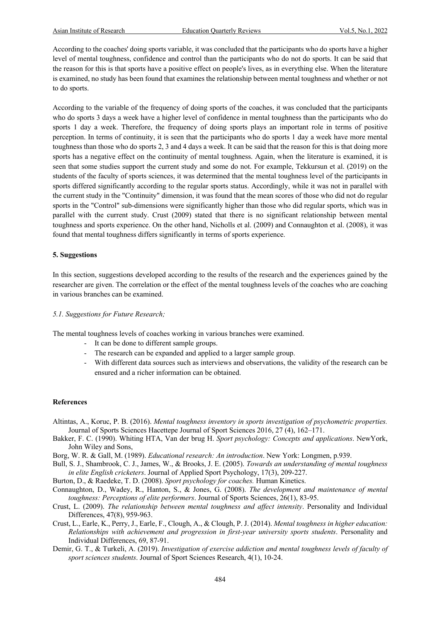According to the coaches' doing sports variable, it was concluded that the participants who do sports have a higher level of mental toughness, confidence and control than the participants who do not do sports. It can be said that the reason for this is that sports have a positive effect on people's lives, as in everything else. When the literature is examined, no study has been found that examines the relationship between mental toughness and whether or not to do sports.

According to the variable of the frequency of doing sports of the coaches, it was concluded that the participants who do sports 3 days a week have a higher level of confidence in mental toughness than the participants who do sports 1 day a week. Therefore, the frequency of doing sports plays an important role in terms of positive perception. In terms of continuity, it is seen that the participants who do sports 1 day a week have more mental toughness than those who do sports 2, 3 and 4 days a week. It can be said that the reason for this is that doing more sports has a negative effect on the continuity of mental toughness. Again, when the literature is examined, it is seen that some studies support the current study and some do not. For example, Tekkursun et al. (2019) on the students of the faculty of sports sciences, it was determined that the mental toughness level of the participants in sports differed significantly according to the regular sports status. Accordingly, while it was not in parallel with the current study in the "Continuity" dimension, it was found that the mean scores of those who did not do regular sports in the "Control" sub-dimensions were significantly higher than those who did regular sports, which was in parallel with the current study. Crust (2009) stated that there is no significant relationship between mental toughness and sports experience. On the other hand, Nicholls et al. (2009) and Connaughton et al. (2008), it was found that mental toughness differs significantly in terms of sports experience.

#### **5. Suggestions**

In this section, suggestions developed according to the results of the research and the experiences gained by the researcher are given. The correlation or the effect of the mental toughness levels of the coaches who are coaching in various branches can be examined.

#### *5.1. Suggestions for Future Research;*

The mental toughness levels of coaches working in various branches were examined.

- It can be done to different sample groups.
- The research can be expanded and applied to a larger sample group.
- With different data sources such as interviews and observations, the validity of the research can be ensured and a richer information can be obtained.

#### **References**

- Altintas, A., Koruc, P. B. (2016). *Mental toughness inventory in sports investigation of psychometric properties.* Journal of Sports Sciences Hacettepe Journal of Sport Sciences 2016, 27 (4), 162–171.
- Bakker, F. C. (1990). Whiting HTA, Van der brug H. *Sport psychology: Concepts and applications*. NewYork, John Wiley and Sons,
- Borg, W. R. & Gall, M. (1989). *Educational research: An introduction*. New York: Longmen, p.939.
- Bull, S. J., Shambrook, C. J., James, W., & Brooks, J. E. (2005). *Towards an understanding of mental toughness in elite English cricketers*. Journal of Applied Sport Psychology, 17(3), 209-227.
- Burton, D., & Raedeke, T. D. (2008). *Sport psychology for coaches.* Human Kinetics.
- Connaughton, D., Wadey, R., Hanton, S., & Jones, G. (2008). *The development and maintenance of mental toughness: Perceptions of elite performers*. Journal of Sports Sciences, 26(1), 83-95.
- Crust, L. (2009). *The relationship between mental toughness and affect intensity*. Personality and Individual Differences, 47(8), 959-963.
- Crust, L., Earle, K., Perry, J., Earle, F., Clough, A., & Clough, P. J. (2014). *Mental toughness in higher education: Relationships with achievement and progression in first-year university sports students*. Personality and Individual Differences, 69, 87-91.
- Demir, G. T., & Turkeli, A. (2019). *Investigation of exercise addiction and mental toughness levels of faculty of sport sciences students*. Journal of Sport Sciences Research, 4(1), 10-24.